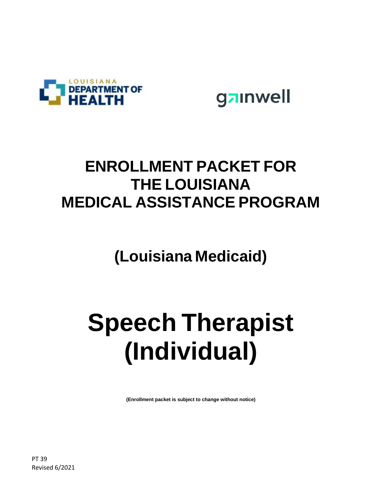

gainwell

## **ENROLLMENT PACKET FOR THE LOUISIANA MEDICAL ASSISTANCE PROGRAM**

**(Louisiana Medicaid)**

# **Speech Therapist (Individual)**

**(Enrollment packet is subject to change without notice)**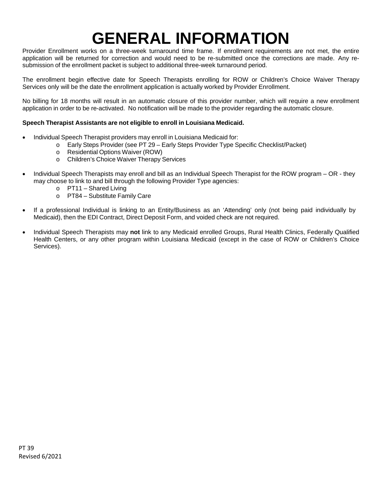# **GENERAL INFORMATION**

Provider Enrollment works on a three-week turnaround time frame. If enrollment requirements are not met, the entire application will be returned for correction and would need to be re-submitted once the corrections are made. Any resubmission of the enrollment packet is subject to additional three-week turnaround period.

The enrollment begin effective date for Speech Therapists enrolling for ROW or Children's Choice Waiver Therapy Services only will be the date the enrollment application is actually worked by Provider Enrollment.

No billing for 18 months will result in an automatic closure of this provider number, which will require a new enrollment application in order to be re-activated. No notification will be made to the provider regarding the automatic closure.

#### **Speech Therapist Assistants are not eligible to enroll in Louisiana Medicaid.**

- Individual Speech Therapist providers may enroll in Louisiana Medicaid for:
	- o Early Steps Provider (see PT 29 Early Steps Provider Type Specific Checklist/Packet)
	- o Residential Options Waiver (ROW)
	- o Children's Choice Waiver Therapy Services
- Individual Speech Therapists may enroll and bill as an Individual Speech Therapist for the ROW program OR they may choose to link to and bill through the following Provider Type agencies:
	- o PT11 Shared Living
	- o PT84 Substitute Family Care
- If a professional Individual is linking to an Entity/Business as an 'Attending' only (not being paid individually by Medicaid), then the EDI Contract, Direct Deposit Form, and voided check are not required.
- Individual Speech Therapists may **not** link to any Medicaid enrolled Groups, Rural Health Clinics, Federally Qualified Health Centers, or any other program within Louisiana Medicaid (except in the case of ROW or Children's Choice Services).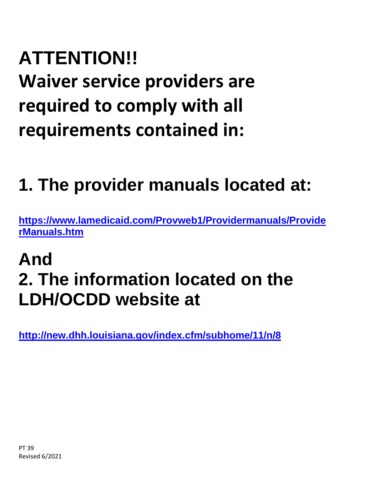# **ATTENTION!! Waiver service providers are required to comply with all requirements contained in:**

# **1. The provider manuals located at:**

**[https://www.lamedicaid.com/Provweb1/Providermanuals/Provide](https://www.lamedicaid.com/Provweb1/Providermanuals/ProviderManuals.htm) [rManuals.htm](https://www.lamedicaid.com/Provweb1/Providermanuals/ProviderManuals.htm)**

# **And 2. The information located on the LDH/OCDD website at**

**<http://new.dhh.louisiana.gov/index.cfm/subhome/11/n/8>**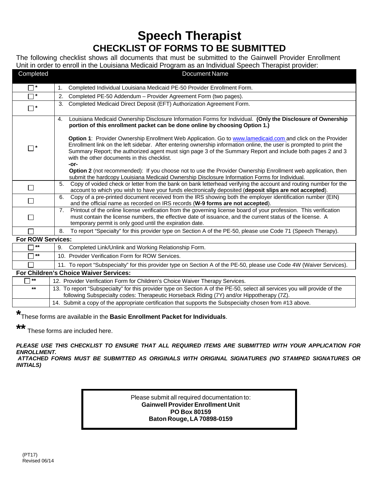## **Speech Therapist CHECKLIST OF FORMS TO BE SUBMITTED**

The following checklist shows all documents that must be submitted to the Gainwell Provider Enrollment Unit in order to enroll in the Louisiana Medicaid Program as an Individual Speech Therapist provider:

| Completed                | <b>Document Name</b>                                                                                                                                                                                                                                                                                                                                                                                    |
|--------------------------|---------------------------------------------------------------------------------------------------------------------------------------------------------------------------------------------------------------------------------------------------------------------------------------------------------------------------------------------------------------------------------------------------------|
| $\Box$                   | Completed Individual Louisiana Medicaid PE-50 Provider Enrollment Form.<br>1.                                                                                                                                                                                                                                                                                                                           |
| $\Box^*$                 | Completed PE-50 Addendum - Provider Agreement Form (two pages).<br>2.                                                                                                                                                                                                                                                                                                                                   |
| П*                       | Completed Medicaid Direct Deposit (EFT) Authorization Agreement Form.<br>3.                                                                                                                                                                                                                                                                                                                             |
|                          | Louisiana Medicaid Ownership Disclosure Information Forms for Individual. (Only the Disclosure of Ownership<br>4.<br>portion of this enrollment packet can be done online by choosing Option 1.)                                                                                                                                                                                                        |
| $\Box^*$                 | Option 1: Provider Ownership Enrollment Web Application. Go to www.lamedicaid.com and click on the Provider<br>Enrollment link on the left sidebar. After entering ownership information online, the user is prompted to print the<br>Summary Report; the authorized agent must sign page 3 of the Summary Report and include both pages 2 and 3<br>with the other documents in this checklist.<br>-or- |
|                          | <b>Option 2</b> (not recommended): If you choose not to use the Provider Ownership Enrollment web application, then<br>submit the hardcopy Louisiana Medicaid Ownership Disclosure Information Forms for Individual.                                                                                                                                                                                    |
| П                        | Copy of voided check or letter from the bank on bank letterhead verifying the account and routing number for the<br>5.<br>account to which you wish to have your funds electronically deposited (deposit slips are not accepted).                                                                                                                                                                       |
| П                        | Copy of a pre-printed document received from the IRS showing both the employer identification number (EIN)<br>6.<br>and the official name as recorded on IRS records (W-9 forms are not accepted).                                                                                                                                                                                                      |
| $\Box$                   | Printout of the online license verification from the governing license board of your profession. This verification<br>7.<br>must contain the license numbers, the effective date of issuance, and the current status of the license. A<br>temporary permit is only good until the expiration date.                                                                                                      |
|                          | To report "Specialty" for this provider type on Section A of the PE-50, please use Code 71 (Speech Therapy).<br>8.                                                                                                                                                                                                                                                                                      |
| <b>For ROW Services:</b> |                                                                                                                                                                                                                                                                                                                                                                                                         |
| $***$                    | Completed Link/Unlink and Working Relationship Form.<br>9.                                                                                                                                                                                                                                                                                                                                              |
| $***$                    | 10. Provider Verification Form for ROW Services.                                                                                                                                                                                                                                                                                                                                                        |
|                          | 11. To report "Subspecialty" for this provider type on Section A of the PE-50, please use Code 4W (Waiver Services).                                                                                                                                                                                                                                                                                    |
|                          | <b>For Children's Choice Waiver Services:</b>                                                                                                                                                                                                                                                                                                                                                           |
| $***$                    | 12. Provider Verification Form for Children's Choice Waiver Therapy Services.                                                                                                                                                                                                                                                                                                                           |
| $***$                    | 13. To report "Subspecialty" for this provider type on Section A of the PE-50, select all services you will provide of the<br>following Subspecialty codes: Therapeutic Horseback Riding (7Y) and/or Hippotherapy (7Z).                                                                                                                                                                                 |

14. Submit a copy of the appropriate certification that supports the Subspecialty chosen from #13 above.

**\*** These forms are available in the **Basic Enrollment Packet for Individuals**.

**\*\***

These forms are included here.

*PLEASE USE THIS CHECKLIST TO ENSURE THAT ALL REQUIRED ITEMS ARE SUBMITTED WITH YOUR APPLICATION FOR ENROLLMENT.*

*ATTACHED FORMS MUST BE SUBMITTED AS ORIGINALS WITH ORIGINAL SIGNATURES (NO STAMPED SIGNATURES OR INITIALS)*

> Please submit all required documentation to: **Gainwell Provider Enrollment Unit PO Box 80159 Baton Rouge, LA 70898-0159**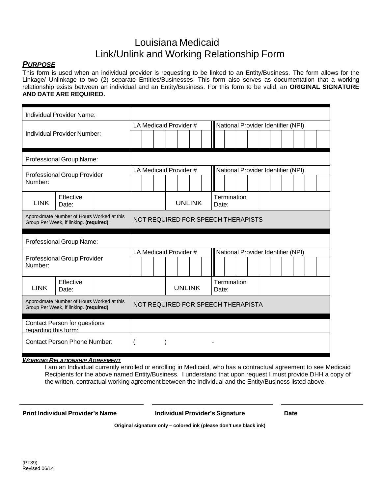## Louisiana Medicaid Link/Unlink and Working Relationship Form

### *PURPOSE*

This form is used when an individual provider is requesting to be linked to an Entity/Business. The form allows for the Linkage/ Unlinkage to two (2) separate Entities/Businesses. This form also serves as documentation that a working relationship exists between an individual and an Entity/Business. For this form to be valid, an **ORIGINAL SIGNATURE AND DATE ARE REQUIRED.**

| Individual Provider Name:                                                            |                                     |  |  |                                    |                        |  |  |               |                                    |             |  |  |  |  |                                    |  |  |  |  |
|--------------------------------------------------------------------------------------|-------------------------------------|--|--|------------------------------------|------------------------|--|--|---------------|------------------------------------|-------------|--|--|--|--|------------------------------------|--|--|--|--|
|                                                                                      |                                     |  |  |                                    | LA Medicaid Provider # |  |  |               | National Provider Identifier (NPI) |             |  |  |  |  |                                    |  |  |  |  |
|                                                                                      | Individual Provider Number:         |  |  |                                    |                        |  |  |               |                                    |             |  |  |  |  |                                    |  |  |  |  |
| Professional Group Name:                                                             |                                     |  |  |                                    |                        |  |  |               |                                    |             |  |  |  |  |                                    |  |  |  |  |
| <b>Professional Group Provider</b><br>Number:                                        |                                     |  |  |                                    | LA Medicaid Provider # |  |  |               |                                    |             |  |  |  |  | National Provider Identifier (NPI) |  |  |  |  |
| <b>LINK</b>                                                                          | Effective<br>Date:                  |  |  |                                    |                        |  |  | <b>UNLINK</b> | Date:                              | Termination |  |  |  |  |                                    |  |  |  |  |
| Approximate Number of Hours Worked at this<br>Group Per Week, if linking. (required) |                                     |  |  | NOT REQUIRED FOR SPEECH THERAPISTS |                        |  |  |               |                                    |             |  |  |  |  |                                    |  |  |  |  |
|                                                                                      | Professional Group Name:            |  |  |                                    |                        |  |  |               |                                    |             |  |  |  |  |                                    |  |  |  |  |
|                                                                                      |                                     |  |  |                                    | LA Medicaid Provider # |  |  |               | National Provider Identifier (NPI) |             |  |  |  |  |                                    |  |  |  |  |
| Number:                                                                              | <b>Professional Group Provider</b>  |  |  |                                    |                        |  |  |               |                                    |             |  |  |  |  |                                    |  |  |  |  |
| <b>LINK</b>                                                                          | Effective<br>Date:                  |  |  |                                    |                        |  |  | <b>UNLINK</b> | Termination<br>Date:               |             |  |  |  |  |                                    |  |  |  |  |
| Approximate Number of Hours Worked at this<br>Group Per Week, if linking. (required) | NOT REQUIRED FOR SPEECH THERAPISTA  |  |  |                                    |                        |  |  |               |                                    |             |  |  |  |  |                                    |  |  |  |  |
|                                                                                      | <b>Contact Person for questions</b> |  |  |                                    |                        |  |  |               |                                    |             |  |  |  |  |                                    |  |  |  |  |
| regarding this form:<br><b>Contact Person Phone Number:</b>                          |                                     |  |  |                                    |                        |  |  |               |                                    |             |  |  |  |  |                                    |  |  |  |  |

#### *WORKING RELATIONSHIP AGREEMENT*

I am an Individual currently enrolled or enrolling in Medicaid, who has a contractual agreement to see Medicaid Recipients for the above named Entity/Business. I understand that upon request I must provide DHH a copy of the written, contractual working agreement between the Individual and the Entity/Business listed above.

**Print Individual Provider's Name Individual Provider's Signature Date**

**Original signature only – colored ink (please don't use black ink)**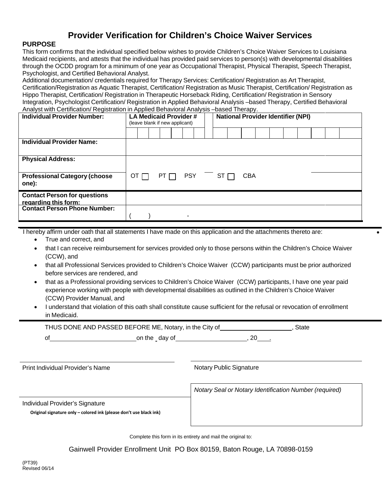## **Provider Verification for Children's Choice Waiver Services**

#### **PURPOSE**

This form confirms that the individual specified below wishes to provide Children's Choice Waiver Services to Louisiana Medicaid recipients, and attests that the individual has provided paid services to person(s) with developmental disabilities through the OCDD program for a minimum of one year as Occupational Therapist, Physical Therapist, Speech Therapist, Psychologist, and Certified Behavioral Analyst.

Additional documentation/ credentials required for Therapy Services: Certification/ Registration as Art Therapist, Certification/Registration as Aquatic Therapist, Certification/ Registration as Music Therapist, Certification/ Registration as Hippo Therapist, Certification/ Registration in Therapeutic Horseback Riding, Certification/ Registration in Sensory Integration, Psychologist Certification/ Registration in Applied Behavioral Analysis –based Therapy, Certified Behavioral Analyst with Certification/ Registration in Applied Behavioral Analysis –based Therapy.

| <b>Individual Provider Number:</b>                          | LA Medicaid Provider #<br><b>National Provider Identifier (NPI)</b><br>(leave blank if new applicant) |             |  |    |  |  |            |  |      |  |            |  |  |  |  |
|-------------------------------------------------------------|-------------------------------------------------------------------------------------------------------|-------------|--|----|--|--|------------|--|------|--|------------|--|--|--|--|
|                                                             |                                                                                                       |             |  |    |  |  |            |  |      |  |            |  |  |  |  |
| <b>Individual Provider Name:</b>                            |                                                                                                       |             |  |    |  |  |            |  |      |  |            |  |  |  |  |
| <b>Physical Address:</b>                                    |                                                                                                       |             |  |    |  |  |            |  |      |  |            |  |  |  |  |
| <b>Professional Category (choose</b><br>one):               |                                                                                                       | OT $\Gamma$ |  | PT |  |  | <b>PSY</b> |  | ST [ |  | <b>CBA</b> |  |  |  |  |
| <b>Contact Person for questions</b><br>regarding this form: |                                                                                                       |             |  |    |  |  |            |  |      |  |            |  |  |  |  |
| <b>Contact Person Phone Number:</b>                         |                                                                                                       |             |  |    |  |  |            |  |      |  |            |  |  |  |  |

I hereby affirm under oath that all statements I have made on this application and the attachments thereto are: •

- True and correct, and
- that I can receive reimbursement for services provided only to those persons within the Children's Choice Waiver (CCW), and
- that all Professional Services provided to Children's Choice Waiver (CCW) participants must be prior authorized before services are rendered, and
- that as a Professional providing services to Children's Choice Waiver (CCW) participants, I have one year paid experience working with people with developmental disabilities as outlined in the Children's Choice Waiver (CCW) Provider Manual, and
- I understand that violation of this oath shall constitute cause sufficient for the refusal or revocation of enrollment in Medicaid.

THUS DONE AND PASSED BEFORE ME, Notary, in the City of  $\blacksquare$ , State

of of one on the day of the contract of the day of the contract of  $(20 - 1)$ 

Print Individual Provider's Name Notary Public Signature Notary Public Signature

Individual Provider's Signature

**Original signature only – colored ink (please don't use black ink)**

*Notary Seal or Notary Identification Number (required)*

Complete this form in its entirety and mail the original to:

Gainwell Provider Enrollment Unit PO Box 80159, Baton Rouge, LA 70898-0159